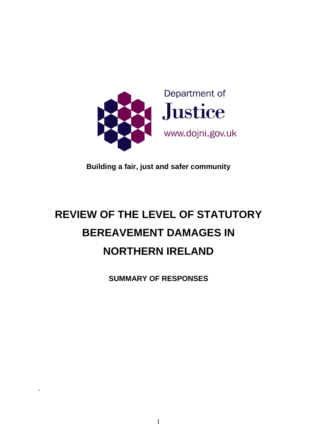

**Building a fair, just and safer community**

# **REVIEW OF THE LEVEL OF STATUTORY BEREAVEMENT DAMAGES IN NORTHERN IRELAND**

**SUMMARY OF RESPONSES**

.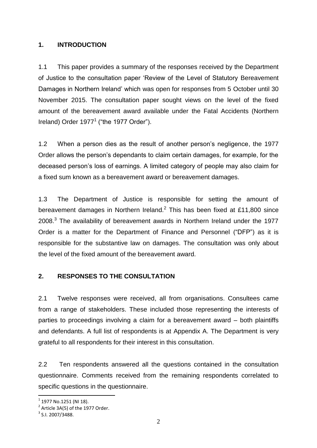#### **1. INTRODUCTION**

1.1 This paper provides a summary of the responses received by the Department of Justice to the consultation paper 'Review of the Level of Statutory Bereavement Damages in Northern Ireland' which was open for responses from 5 October until 30 November 2015. The consultation paper sought views on the level of the fixed amount of the bereavement award available under the Fatal Accidents (Northern Ireland) Order 1977<sup>1</sup> ("the 1977 Order").

1.2 When a person dies as the result of another person's negligence, the 1977 Order allows the person's dependants to claim certain damages, for example, for the deceased person's loss of earnings. A limited category of people may also claim for a fixed sum known as a bereavement award or bereavement damages.

1.3 The Department of Justice is responsible for setting the amount of bereavement damages in Northern Ireland. $^2$  This has been fixed at £11,800 since 2008. $3$  The availability of bereavement awards in Northern Ireland under the 1977 Order is a matter for the Department of Finance and Personnel ("DFP") as it is responsible for the substantive law on damages. The consultation was only about the level of the fixed amount of the bereavement award.

## **2. RESPONSES TO THE CONSULTATION**

2.1 Twelve responses were received, all from organisations. Consultees came from a range of stakeholders. These included those representing the interests of parties to proceedings involving a claim for a bereavement award – both plaintiffs and defendants. A full list of respondents is at Appendix A. The Department is very grateful to all respondents for their interest in this consultation.

2.2 Ten respondents answered all the questions contained in the consultation questionnaire. Comments received from the remaining respondents correlated to specific questions in the questionnaire.

 $\overline{\phantom{a}}$ 

 $^{\rm 1}$  1977 No.1251 (NI 18).

 $2$  Article 3A(5) of the 1977 Order.

 $3$  S.I. 2007/3488.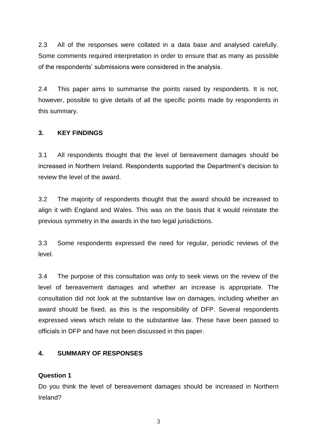2.3 All of the responses were collated in a data base and analysed carefully. Some comments required interpretation in order to ensure that as many as possible of the respondents' submissions were considered in the analysis.

2.4 This paper aims to summarise the points raised by respondents. It is not, however, possible to give details of all the specific points made by respondents in this summary.

#### **3. KEY FINDINGS**

3.1 All respondents thought that the level of bereavement damages should be increased in Northern Ireland. Respondents supported the Department's decision to review the level of the award.

3.2 The majority of respondents thought that the award should be increased to align it with England and Wales. This was on the basis that it would reinstate the previous symmetry in the awards in the two legal jurisdictions.

3.3 Some respondents expressed the need for regular, periodic reviews of the level.

3.4 The purpose of this consultation was only to seek views on the review of the level of bereavement damages and whether an increase is appropriate. The consultation did not look at the substantive law on damages, including whether an award should be fixed, as this is the responsibility of DFP. Several respondents expressed views which relate to the substantive law. These have been passed to officials in DFP and have not been discussed in this paper.

#### **4. SUMMARY OF RESPONSES**

## **Question 1**

Do you think the level of bereavement damages should be increased in Northern Ireland?

3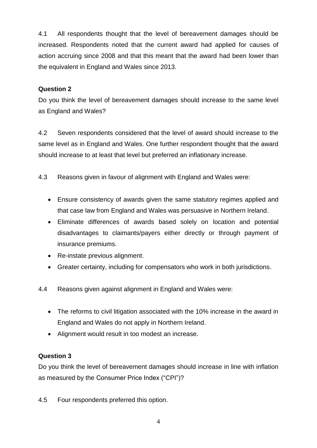4.1 All respondents thought that the level of bereavement damages should be increased. Respondents noted that the current award had applied for causes of action accruing since 2008 and that this meant that the award had been lower than the equivalent in England and Wales since 2013.

## **Question 2**

Do you think the level of bereavement damages should increase to the same level as England and Wales?

4.2 Seven respondents considered that the level of award should increase to the same level as in England and Wales. One further respondent thought that the award should increase to at least that level but preferred an inflationary increase.

4.3 Reasons given in favour of alignment with England and Wales were:

- Ensure consistency of awards given the same statutory regimes applied and that case law from England and Wales was persuasive in Northern Ireland.
- Eliminate differences of awards based solely on location and potential disadvantages to claimants/payers either directly or through payment of insurance premiums.
- Re-instate previous alignment.
- Greater certainty, including for compensators who work in both jurisdictions.
- 4.4 Reasons given against alignment in England and Wales were:
	- The reforms to civil litigation associated with the 10% increase in the award in England and Wales do not apply in Northern Ireland.
	- Alignment would result in too modest an increase.

## **Question 3**

Do you think the level of bereavement damages should increase in line with inflation as measured by the Consumer Price Index ("CPI")?

4.5 Four respondents preferred this option.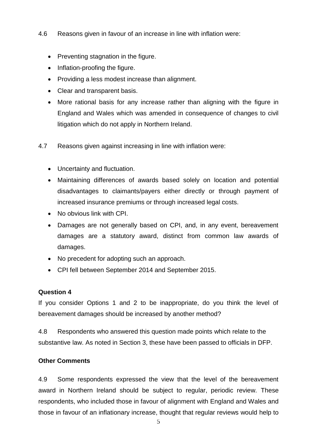- 4.6 Reasons given in favour of an increase in line with inflation were:
	- Preventing stagnation in the figure.
	- Inflation-proofing the figure.
	- Providing a less modest increase than alignment.
	- Clear and transparent basis.
	- More rational basis for any increase rather than aligning with the figure in England and Wales which was amended in consequence of changes to civil litigation which do not apply in Northern Ireland.
- 4.7 Reasons given against increasing in line with inflation were:
	- Uncertainty and fluctuation.
	- Maintaining differences of awards based solely on location and potential disadvantages to claimants/payers either directly or through payment of increased insurance premiums or through increased legal costs.
	- No obvious link with CPI.
	- Damages are not generally based on CPI, and, in any event, bereavement damages are a statutory award, distinct from common law awards of damages.
	- No precedent for adopting such an approach.
	- CPI fell between September 2014 and September 2015.

## **Question 4**

If you consider Options 1 and 2 to be inappropriate, do you think the level of bereavement damages should be increased by another method?

4.8 Respondents who answered this question made points which relate to the substantive law. As noted in Section 3, these have been passed to officials in DFP.

## **Other Comments**

4.9 Some respondents expressed the view that the level of the bereavement award in Northern Ireland should be subject to regular, periodic review. These respondents, who included those in favour of alignment with England and Wales and those in favour of an inflationary increase, thought that regular reviews would help to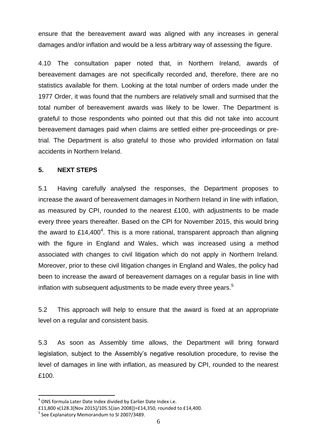ensure that the bereavement award was aligned with any increases in general damages and/or inflation and would be a less arbitrary way of assessing the figure.

4.10 The consultation paper noted that, in Northern Ireland, awards of bereavement damages are not specifically recorded and, therefore, there are no statistics available for them. Looking at the total number of orders made under the 1977 Order, it was found that the numbers are relatively small and surmised that the total number of bereavement awards was likely to be lower. The Department is grateful to those respondents who pointed out that this did not take into account bereavement damages paid when claims are settled either pre-proceedings or pretrial. The Department is also grateful to those who provided information on fatal accidents in Northern Ireland.

#### **5. NEXT STEPS**

5.1 Having carefully analysed the responses, the Department proposes to increase the award of bereavement damages in Northern Ireland in line with inflation, as measured by CPI, rounded to the nearest £100, with adjustments to be made every three years thereafter. Based on the CPI for November 2015, this would bring the award to £14,400<sup>4</sup>. This is a more rational, transparent approach than aligning with the figure in England and Wales, which was increased using a method associated with changes to civil litigation which do not apply in Northern Ireland. Moreover, prior to these civil litigation changes in England and Wales, the policy had been to increase the award of bereavement damages on a regular basis in line with inflation with subsequent adjustments to be made every three years.<sup>5</sup>

5.2 This approach will help to ensure that the award is fixed at an appropriate level on a regular and consistent basis.

5.3 As soon as Assembly time allows, the Department will bring forward legislation, subject to the Assembly's negative resolution procedure, to revise the level of damages in line with inflation, as measured by CPI, rounded to the nearest £100.

 $\overline{\phantom{a}}$ 

 $<sup>4</sup>$  ONS formula Later Date Index divided by Earlier Date Index i.e.</sup>

<sup>£11,800</sup> x(128.3[Nov 2015]/105.5[Jan 2008])=£14,350, rounded to £14,400.

<sup>&</sup>lt;sup>5</sup> See Explanatory Memorandum to SI 2007/3489.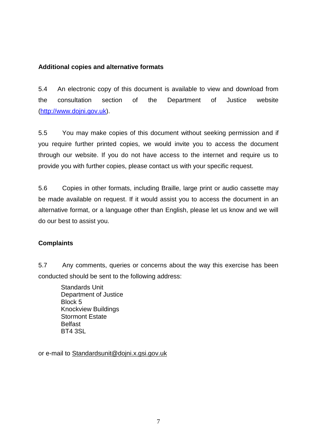#### **Additional copies and alternative formats**

5.4 An electronic copy of this document is available to view and download from the consultation section of the Department of Justice website (http://www.dojni.gov.uk).

5.5 You may make copies of this document without seeking permission and if you require further printed copies, we would invite you to access the document through our website. If you do not have access to the internet and require us to provide you with further copies, please contact us with your specific request.

5.6 Copies in other formats, including Braille, large print or audio cassette may be made available on request. If it would assist you to access the document in an alternative format, or a language other than English, please let us know and we will do our best to assist you.

#### **Complaints**

5.7 Any comments, queries or concerns about the way this exercise has been conducted should be sent to the following address:

Standards Unit Department of Justice Block 5 Knockview Buildings Stormont Estate Belfast BT4 3SL

or e-mail to Standardsunit@dojni.x.gsi.gov.uk